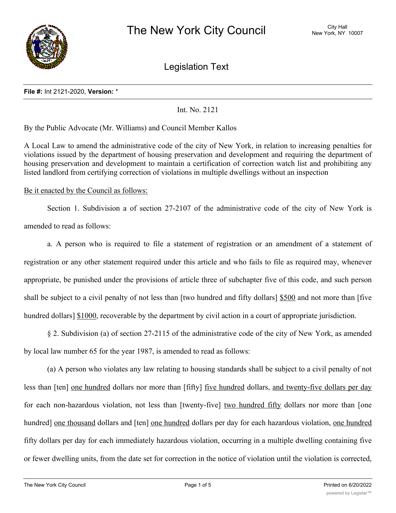

Legislation Text

#### **File #:** Int 2121-2020, **Version:** \*

Int. No. 2121

By the Public Advocate (Mr. Williams) and Council Member Kallos

A Local Law to amend the administrative code of the city of New York, in relation to increasing penalties for violations issued by the department of housing preservation and development and requiring the department of housing preservation and development to maintain a certification of correction watch list and prohibiting any listed landlord from certifying correction of violations in multiple dwellings without an inspection

Be it enacted by the Council as follows:

Section 1. Subdivision a of section 27-2107 of the administrative code of the city of New York is amended to read as follows:

a. A person who is required to file a statement of registration or an amendment of a statement of registration or any other statement required under this article and who fails to file as required may, whenever appropriate, be punished under the provisions of article three of subchapter five of this code, and such person shall be subject to a civil penalty of not less than [two hundred and fifty dollars] \$500 and not more than [five hundred dollars] \$1000, recoverable by the department by civil action in a court of appropriate jurisdiction.

§ 2. Subdivision (a) of section 27-2115 of the administrative code of the city of New York, as amended by local law number 65 for the year 1987, is amended to read as follows:

(a) A person who violates any law relating to housing standards shall be subject to a civil penalty of not less than [ten] <u>one hundred</u> dollars nor more than [fifty] <u>five hundred</u> dollars, and twenty-five dollars per day for each non-hazardous violation, not less than [twenty-five] two hundred fifty dollars nor more than [one hundred] one thousand dollars and [ten] one hundred dollars per day for each hazardous violation, one hundred fifty dollars per day for each immediately hazardous violation, occurring in a multiple dwelling containing five or fewer dwelling units, from the date set for correction in the notice of violation until the violation is corrected,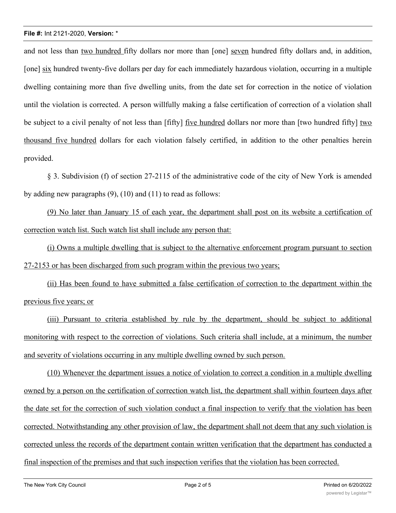and not less than two hundred fifty dollars nor more than [one] seven hundred fifty dollars and, in addition, [one] six hundred twenty-five dollars per day for each immediately hazardous violation, occurring in a multiple dwelling containing more than five dwelling units, from the date set for correction in the notice of violation until the violation is corrected. A person willfully making a false certification of correction of a violation shall be subject to a civil penalty of not less than [fifty] five hundred dollars nor more than [two hundred fifty] two thousand five hundred dollars for each violation falsely certified, in addition to the other penalties herein provided.

§ 3. Subdivision (f) of section 27-2115 of the administrative code of the city of New York is amended by adding new paragraphs (9), (10) and (11) to read as follows:

(9) No later than January 15 of each year, the department shall post on its website a certification of correction watch list. Such watch list shall include any person that:

(i) Owns a multiple dwelling that is subject to the alternative enforcement program pursuant to section 27-2153 or has been discharged from such program within the previous two years;

(ii) Has been found to have submitted a false certification of correction to the department within the previous five years; or

(iii) Pursuant to criteria established by rule by the department, should be subject to additional monitoring with respect to the correction of violations. Such criteria shall include, at a minimum, the number and severity of violations occurring in any multiple dwelling owned by such person.

(10) Whenever the department issues a notice of violation to correct a condition in a multiple dwelling owned by a person on the certification of correction watch list, the department shall within fourteen days after the date set for the correction of such violation conduct a final inspection to verify that the violation has been corrected. Notwithstanding any other provision of law, the department shall not deem that any such violation is corrected unless the records of the department contain written verification that the department has conducted a final inspection of the premises and that such inspection verifies that the violation has been corrected.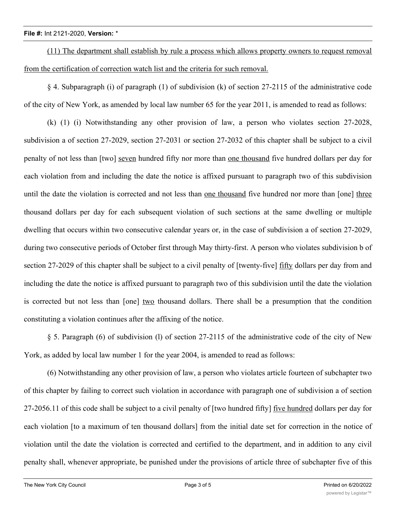(11) The department shall establish by rule a process which allows property owners to request removal from the certification of correction watch list and the criteria for such removal.

§ 4. Subparagraph (i) of paragraph (1) of subdivision (k) of section 27-2115 of the administrative code of the city of New York, as amended by local law number 65 for the year 2011, is amended to read as follows:

(k) (1) (i) Notwithstanding any other provision of law, a person who violates section 27-2028, subdivision a of section 27-2029, section 27-2031 or section 27-2032 of this chapter shall be subject to a civil penalty of not less than [two] seven hundred fifty nor more than one thousand five hundred dollars per day for each violation from and including the date the notice is affixed pursuant to paragraph two of this subdivision until the date the violation is corrected and not less than one thousand five hundred nor more than [one] three thousand dollars per day for each subsequent violation of such sections at the same dwelling or multiple dwelling that occurs within two consecutive calendar years or, in the case of subdivision a of section 27-2029, during two consecutive periods of October first through May thirty-first. A person who violates subdivision b of section 27-2029 of this chapter shall be subject to a civil penalty of [twenty-five] fifty dollars per day from and including the date the notice is affixed pursuant to paragraph two of this subdivision until the date the violation is corrected but not less than [one] two thousand dollars. There shall be a presumption that the condition constituting a violation continues after the affixing of the notice.

§ 5. Paragraph (6) of subdivision (l) of section 27-2115 of the administrative code of the city of New York, as added by local law number 1 for the year 2004, is amended to read as follows:

(6) Notwithstanding any other provision of law, a person who violates article fourteen of subchapter two of this chapter by failing to correct such violation in accordance with paragraph one of subdivision a of section 27-2056.11 of this code shall be subject to a civil penalty of [two hundred fifty] <u>five hundred</u> dollars per day for each violation [to a maximum of ten thousand dollars] from the initial date set for correction in the notice of violation until the date the violation is corrected and certified to the department, and in addition to any civil penalty shall, whenever appropriate, be punished under the provisions of article three of subchapter five of this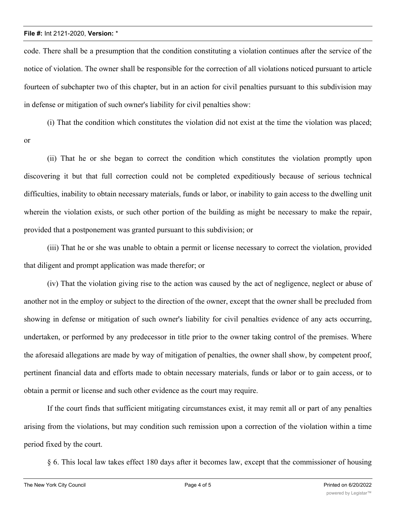code. There shall be a presumption that the condition constituting a violation continues after the service of the notice of violation. The owner shall be responsible for the correction of all violations noticed pursuant to article fourteen of subchapter two of this chapter, but in an action for civil penalties pursuant to this subdivision may in defense or mitigation of such owner's liability for civil penalties show:

(i) That the condition which constitutes the violation did not exist at the time the violation was placed;

or

(ii) That he or she began to correct the condition which constitutes the violation promptly upon discovering it but that full correction could not be completed expeditiously because of serious technical difficulties, inability to obtain necessary materials, funds or labor, or inability to gain access to the dwelling unit wherein the violation exists, or such other portion of the building as might be necessary to make the repair, provided that a postponement was granted pursuant to this subdivision; or

(iii) That he or she was unable to obtain a permit or license necessary to correct the violation, provided that diligent and prompt application was made therefor; or

(iv) That the violation giving rise to the action was caused by the act of negligence, neglect or abuse of another not in the employ or subject to the direction of the owner, except that the owner shall be precluded from showing in defense or mitigation of such owner's liability for civil penalties evidence of any acts occurring, undertaken, or performed by any predecessor in title prior to the owner taking control of the premises. Where the aforesaid allegations are made by way of mitigation of penalties, the owner shall show, by competent proof, pertinent financial data and efforts made to obtain necessary materials, funds or labor or to gain access, or to obtain a permit or license and such other evidence as the court may require.

If the court finds that sufficient mitigating circumstances exist, it may remit all or part of any penalties arising from the violations, but may condition such remission upon a correction of the violation within a time period fixed by the court.

§ 6. This local law takes effect 180 days after it becomes law, except that the commissioner of housing